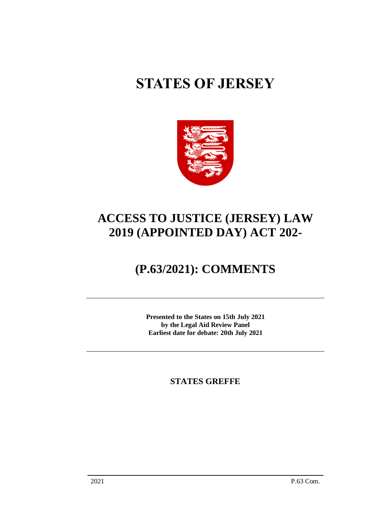# **STATES OF JERSEY**



# **ACCESS TO JUSTICE (JERSEY) LAW 2019 (APPOINTED DAY) ACT 202-**

# **(P.63/2021): COMMENTS**

**Presented to the States on 15th July 2021 by the Legal Aid Review Panel Earliest date for debate: 20th July 2021**

**STATES GREFFE**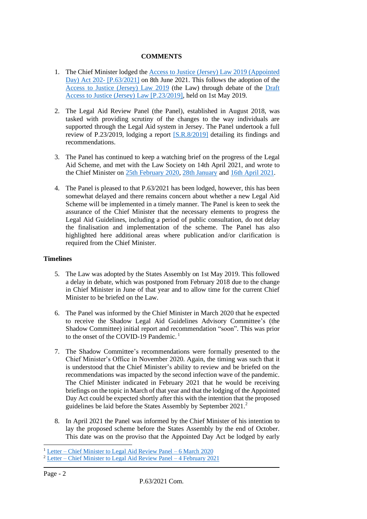# **COMMENTS**

- 1. The Chief Minister lodged the [Access to Justice \(Jersey\) Law 2019 \(Appointed](https://statesassembly.gov.je/AssemblyPropositions/2021/P.63-2021.pdf)  [Day\) Act 202-](https://statesassembly.gov.je/AssemblyPropositions/2021/P.63-2021.pdf) [\[P.63/2021\]](https://statesassembly.gov.je/AssemblyPropositions/2021/P.63-2021.pdf) on 8th June 2021. This follows the adoption of the [Access to Justice \(Jersey\) Law 2019](https://www.jerseylaw.je/laws/enacted/Pages/L-11-2019.aspx) (the Law) through debate of the [Draft](https://statesassembly.gov.je/assemblypropositions/2019/p.23-2019.pdf)  [Access to Justice \(Jersey\) Law \[P.23/2019\],](https://statesassembly.gov.je/assemblypropositions/2019/p.23-2019.pdf) held on 1st May 2019.
- 2. The Legal Aid Review Panel (the Panel), established in August 2018, was tasked with providing scrutiny of the changes to the way individuals are supported through the Legal Aid system in Jersey. The Panel undertook a full review of P.23/2019, lodging a report [\[S.R.8/2019\]](https://statesassembly.gov.je/ScrutinyReports/2019/Report%20-%20Legal%20Aid%20Review%20-%2029%20April%202019.pdf) detailing its findings and recommendations.
- 3. The Panel has continued to keep a watching brief on the progress of the Legal Aid Scheme, and met with the Law Society on 14th April 2021, and wrote to the Chief Minister on [25th February 2020,](https://statesassembly.gov.je/ScrutinyReports/2020/Letter%20-%20to%20Chief%20Minister%20re%20Legal%20Aid%20Guidelines%20Committee%20-%2025%20February%202020.pdf) [28th January](https://statesassembly.gov.je/ScrutinyReports/2021/Letter%20-%20to%20Chief%20Minister%20re%20Progress%20of%20Legal%20Aid%20Guidelines%20Advisory%20Panel%20-%2028%20January%202021.pdf) and [16th April 2021.](https://statesassembly.gov.je/ScrutinyReports/2021/Letter%20-%20to%20Chief%20Minister%20re%20Progress%20of%20Legal%20Aid%20Guidelines%20Appointed%20Day%20Act%20-%2016%20April%202021.pdf)
- 4. The Panel is pleased to that P.63/2021 has been lodged, however, this has been somewhat delayed and there remains concern about whether a new Legal Aid Scheme will be implemented in a timely manner. The Panel is keen to seek the assurance of the Chief Minister that the necessary elements to progress the Legal Aid Guidelines, including a period of public consultation, do not delay the finalisation and implementation of the scheme. The Panel has also highlighted here additional areas where publication and/or clarification is required from the Chief Minister.

# **Timelines**

- 5. The Law was adopted by the States Assembly on 1st May 2019. This followed a delay in debate, which was postponed from February 2018 due to the change in Chief Minister in June of that year and to allow time for the current Chief Minister to be briefed on the Law.
- 6. The Panel was informed by the Chief Minister in March 2020 that he expected to receive the Shadow Legal Aid Guidelines Advisory Committee's (the Shadow Committee) initial report and recommendation "soon". This was prior to the onset of the COVID-19 Pandemic.<sup>1</sup>
- 7. The Shadow Committee's recommendations were formally presented to the Chief Minister's Office in November 2020. Again, the timing was such that it is understood that the Chief Minister's ability to review and be briefed on the recommendations was impacted by the second infection wave of the pandemic. The Chief Minister indicated in February 2021 that he would be receiving briefings on the topic in March of that year and that the lodging of the Appointed Day Act could be expected shortly after this with the intention that the proposed guidelines be laid before the States Assembly by September 2021.<sup>2</sup>
- 8. In April 2021 the Panel was informed by the Chief Minister of his intention to lay the proposed scheme before the States Assembly by the end of October. This date was on the proviso that the Appointed Day Act be lodged by early

<sup>1</sup> Letter – [Chief Minister to Legal Aid Review Panel –](https://statesassembly.gov.je/ScrutinyReports/2020/Letter%20-%20Chief%20Minister%20to%20Legal%20Aid%20Review%20Panel%20re%20Legal%20Aid%20Guidelines%20Commitee%20-%206%20March%202020.pdf) 6 March 2020

<sup>&</sup>lt;sup>2</sup> Letter – Chief [Minister to Legal Aid Review Panel –](https://statesassembly.gov.je/ScrutinyReports/2021/Letter%20-%20Chief%20Minister%20to%20Legal%20Aid%20Review%20Panel%20re%20Progress%20of%20Legal%20Aid%20Guidelines%20Advisory%20Panel%20-%204%20February%202021.pdf) 4 February 2021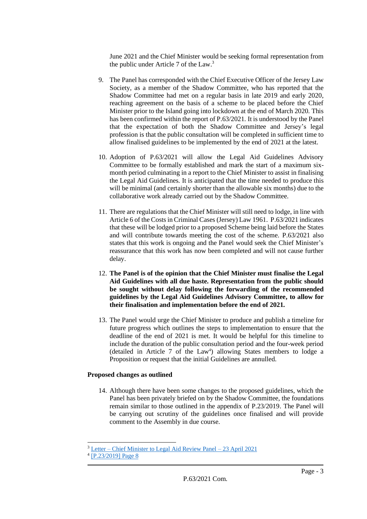June 2021 and the Chief Minister would be seeking formal representation from the public under Article 7 of the Law.<sup>3</sup>

- 9. The Panel has corresponded with the Chief Executive Officer of the Jersey Law Society, as a member of the Shadow Committee, who has reported that the Shadow Committee had met on a regular basis in late 2019 and early 2020, reaching agreement on the basis of a scheme to be placed before the Chief Minister prior to the Island going into lockdown at the end of March 2020. This has been confirmed within the report of P.63/2021. It is understood by the Panel that the expectation of both the Shadow Committee and Jersey's legal profession is that the public consultation will be completed in sufficient time to allow finalised guidelines to be implemented by the end of 2021 at the latest.
- 10. Adoption of P.63/2021 will allow the Legal Aid Guidelines Advisory Committee to be formally established and mark the start of a maximum sixmonth period culminating in a report to the Chief Minister to assist in finalising the Legal Aid Guidelines. It is anticipated that the time needed to produce this will be minimal (and certainly shorter than the allowable six months) due to the collaborative work already carried out by the Shadow Committee.
- 11. There are regulations that the Chief Minister will still need to lodge, in line with Article 6 of the Costs in Criminal Cases (Jersey) Law 1961. P.63/2021 indicates that these will be lodged prior to a proposed Scheme being laid before the States and will contribute towards meeting the cost of the scheme. P.63/2021 also states that this work is ongoing and the Panel would seek the Chief Minister's reassurance that this work has now been completed and will not cause further delay.
- 12. **The Panel is of the opinion that the Chief Minister must finalise the Legal Aid Guidelines with all due haste. Representation from the public should be sought without delay following the forwarding of the recommended guidelines by the Legal Aid Guidelines Advisory Committee, to allow for their finalisation and implementation before the end of 2021.**
- 13. The Panel would urge the Chief Minister to produce and publish a timeline for future progress which outlines the steps to implementation to ensure that the deadline of the end of 2021 is met. It would be helpful for this timeline to include the duration of the public consultation period and the four-week period (detailed in Article 7 of the Law<sup>4</sup>) allowing States members to lodge a Proposition or request that the initial Guidelines are annulled.

#### **Proposed changes as outlined**

14. Although there have been some changes to the proposed guidelines, which the Panel has been privately briefed on by the Shadow Committee, the foundations remain similar to those outlined in the appendix of P.23/2019. The Panel will be carrying out scrutiny of the guidelines once finalised and will provide comment to the Assembly in due course.

<sup>3</sup> Letter – [Chief Minister to Legal Aid Review Panel –](https://statesassembly.gov.je/ScrutinyReports/2021/Letter%20-%20Chief%20Minister%20to%20Legal%20Aid%20Review%20Panel%20re%20Progress%20of%20Legal%20Aid%20Guidelines%20Appointed%20Day%20Act%20-%2023%20April%202021.pdf) 23 April 2021

<sup>4</sup> [\[P.23/2019\] Page 8](https://statesassembly.gov.je/assemblypropositions/2019/p.23-2019.pdf)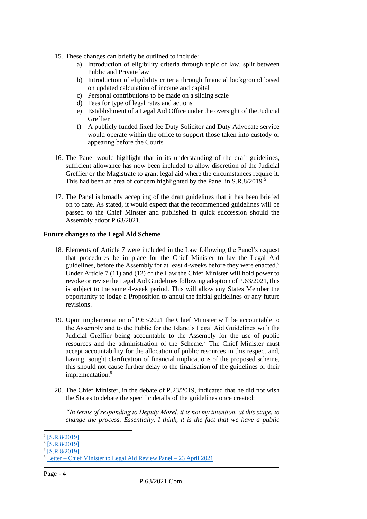- 15. These changes can briefly be outlined to include:
	- a) Introduction of eligibility criteria through topic of law, split between Public and Private law
	- b) Introduction of eligibility criteria through financial background based on updated calculation of income and capital
	- c) Personal contributions to be made on a sliding scale
	- d) Fees for type of legal rates and actions
	- e) Establishment of a Legal Aid Office under the oversight of the Judicial Greffier
	- f) A publicly funded fixed fee Duty Solicitor and Duty Advocate service would operate within the office to support those taken into custody or appearing before the Courts
- 16. The Panel would highlight that in its understanding of the draft guidelines, sufficient allowance has now been included to allow discretion of the Judicial Greffier or the Magistrate to grant legal aid where the circumstances require it. This had been an area of concern highlighted by the Panel in S.R.8/2019.<sup>5</sup>
- 17. The Panel is broadly accepting of the draft guidelines that it has been briefed on to date. As stated, it would expect that the recommended guidelines will be passed to the Chief Minster and published in quick succession should the Assembly adopt P.63/2021.

#### **Future changes to the Legal Aid Scheme**

- 18. Elements of Article 7 were included in the Law following the Panel's request that procedures be in place for the Chief Minister to lay the Legal Aid guidelines, before the Assembly for at least 4-weeks before they were enacted.<sup>6</sup> Under Article 7 (11) and (12) of the Law the Chief Minister will hold power to revoke or revise the Legal Aid Guidelines following adoption of P.63/2021, this is subject to the same 4-week period. This will allow any States Member the opportunity to lodge a Proposition to annul the initial guidelines or any future revisions.
- 19. Upon implementation of P.63/2021 the Chief Minister will be accountable to the Assembly and to the Public for the Island's Legal Aid Guidelines with the Judicial Greffier being accountable to the Assembly for the use of public resources and the administration of the Scheme.<sup>7</sup> The Chief Minister must accept accountability for the allocation of public resources in this respect and, having sought clarification of financial implications of the proposed scheme, this should not cause further delay to the finalisation of the guidelines or their implementation.<sup>8</sup>
- 20. The Chief Minister, in the debate of P.23/2019, indicated that he did not wish the States to debate the specific details of the guidelines once created:

*"In terms of responding to Deputy Morel, it is not my intention, at this stage, to change the process. Essentially, I think, it is the fact that we have a public* 

<sup>5</sup> [\[S.R.8/2019\]](https://statesassembly.gov.je/ScrutinyReports/2019/Report%20-%20Legal%20Aid%20Review%20-%2029%20April%202019.pdf)

<sup>&</sup>lt;sup>6</sup> [\[S.R.8/2019\]](https://statesassembly.gov.je/ScrutinyReports/2019/Report%20-%20Legal%20Aid%20Review%20-%2029%20April%202019.pdf)

<sup>&</sup>lt;sup>7</sup> [\[S.R.8/2019\]](https://statesassembly.gov.je/ScrutinyReports/2019/Report%20-%20Legal%20Aid%20Review%20-%2029%20April%202019.pdf)

<sup>8</sup> Letter – [Chief Minister to Legal Aid Review Panel –](https://statesassembly.gov.je/ScrutinyReports/2021/Letter%20-%20Chief%20Minister%20to%20Legal%20Aid%20Review%20Panel%20re%20Progress%20of%20Legal%20Aid%20Guidelines%20Appointed%20Day%20Act%20-%2023%20April%202021.pdf) 23 April 2021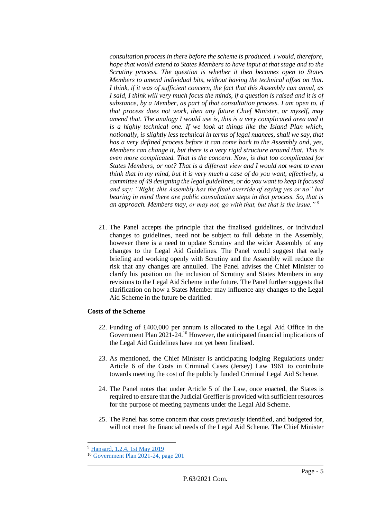*consultation process in there before the scheme is produced. I would, therefore, hope that would extend to States Members to have input at that stage and to the Scrutiny process. The question is whether it then becomes open to States Members to amend individual bits, without having the technical offset on that. I think, if it was of sufficient concern, the fact that this Assembly can annul, as I said, I think will very much focus the minds, if a question is raised and it is of substance, by a Member, as part of that consultation process. I am open to, if that process does not work, then any future Chief Minister, or myself, may amend that. The analogy I would use is, this is a very complicated area and it is a highly technical one. If we look at things like the Island Plan which, notionally, is slightly less technical in terms of legal nuances, shall we say, that has a very defined process before it can come back to the Assembly and, yes, Members can change it, but there is a very rigid structure around that. This is even more complicated. That is the concern. Now, is that too complicated for States Members, or not? That is a different view and I would not want to even think that in my mind, but it is very much a case of do you want, effectively, a committee of 49 designing the legal guidelines, or do you want to keep it focused and say: "Right, this Assembly has the final override of saying yes or no" but bearing in mind there are public consultation steps in that process. So, that is an approach. Members may, or may not, go with that, but that is the issue." <sup>9</sup>*

21. The Panel accepts the principle that the finalised guidelines, or individual changes to guidelines, need not be subject to full debate in the Assembly, however there is a need to update Scrutiny and the wider Assembly of any changes to the Legal Aid Guidelines. The Panel would suggest that early briefing and working openly with Scrutiny and the Assembly will reduce the risk that any changes are annulled. The Panel advises the Chief Minister to clarify his position on the inclusion of Scrutiny and States Members in any revisions to the Legal Aid Scheme in the future. The Panel further suggests that clarification on how a States Member may influence any changes to the Legal Aid Scheme in the future be clarified.

### **Costs of the Scheme**

- 22. Funding of £400,000 per annum is allocated to the Legal Aid Office in the Government Plan 2021-24.<sup>10</sup> However, the anticipated financial implications of the Legal Aid Guidelines have not yet been finalised.
- 23. As mentioned, the Chief Minister is anticipating lodging Regulations under Article 6 of the Costs in Criminal Cases (Jersey) Law 1961 to contribute towards meeting the cost of the publicly funded Criminal Legal Aid Scheme.
- 24. The Panel notes that under Article 5 of the Law, once enacted, the States is required to ensure that the Judicial Greffier is provided with sufficient resources for the purpose of meeting payments under the Legal Aid Scheme.
- 25. The Panel has some concern that costs previously identified, and budgeted for, will not meet the financial needs of the Legal Aid Scheme. The Chief Minister

<sup>9</sup> [Hansard, 1.2.4, 1st May 2019](https://statesassembly.gov.je/AssemblyHansard/2019/2019.05.01%20States%20-%20Edited%20transcript.pdf)

<sup>10</sup> [Government Plan 2021-24, page 201](https://www.gov.je/SiteCollectionDocuments/Government%20and%20administration/ID%20Government%20Plan%202021%20to%202024%20CB.pdf#page=201)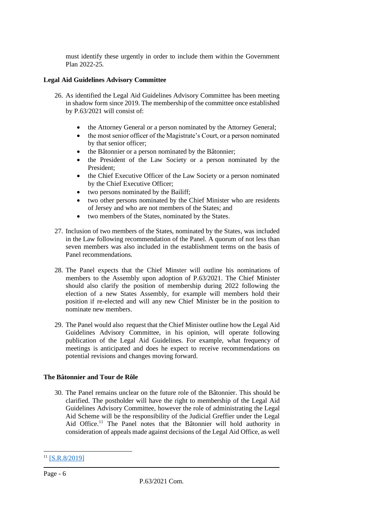must identify these urgently in order to include them within the Government Plan 2022-25.

# **Legal Aid Guidelines Advisory Committee**

- 26. As identified the Legal Aid Guidelines Advisory Committee has been meeting in shadow form since 2019. The membership of the committee once established by P.63/2021 will consist of:
	- the Attorney General or a person nominated by the Attorney General;
	- the most senior officer of the Magistrate's Court, or a person nominated by that senior officer;
	- the Bâtonnier or a person nominated by the Bâtonnier;
	- the President of the Law Society or a person nominated by the President;
	- the Chief Executive Officer of the Law Society or a person nominated by the Chief Executive Officer;
	- two persons nominated by the Bailiff;
	- two other persons nominated by the Chief Minister who are residents of Jersey and who are not members of the States; and
	- two members of the States, nominated by the States.
- 27. Inclusion of two members of the States, nominated by the States, was included in the Law following recommendation of the Panel. A quorum of not less than seven members was also included in the establishment terms on the basis of Panel recommendations.
- 28. The Panel expects that the Chief Minster will outline his nominations of members to the Assembly upon adoption of P.63/2021. The Chief Minister should also clarify the position of membership during 2022 following the election of a new States Assembly, for example will members hold their position if re-elected and will any new Chief Minister be in the position to nominate new members.
- 29. The Panel would also request that the Chief Minister outline how the Legal Aid Guidelines Advisory Committee, in his opinion, will operate following publication of the Legal Aid Guidelines. For example, what frequency of meetings is anticipated and does he expect to receive recommendations on potential revisions and changes moving forward.

### **The Bâtonnier and Tour de Rôle**

30. The Panel remains unclear on the future role of the Bâtonnier. This should be clarified. The postholder will have the right to membership of the Legal Aid Guidelines Advisory Committee, however the role of administrating the Legal Aid Scheme will be the responsibility of the Judicial Greffier under the Legal Aid Office.<sup>11</sup> The Panel notes that the Bâtonnier will hold authority in consideration of appeals made against decisions of the Legal Aid Office, as well

<sup>&</sup>lt;sup>11</sup> [\[S.R.8/2019\]](https://statesassembly.gov.je/ScrutinyReports/2019/Report%20-%20Legal%20Aid%20Review%20-%2029%20April%202019.pdf)